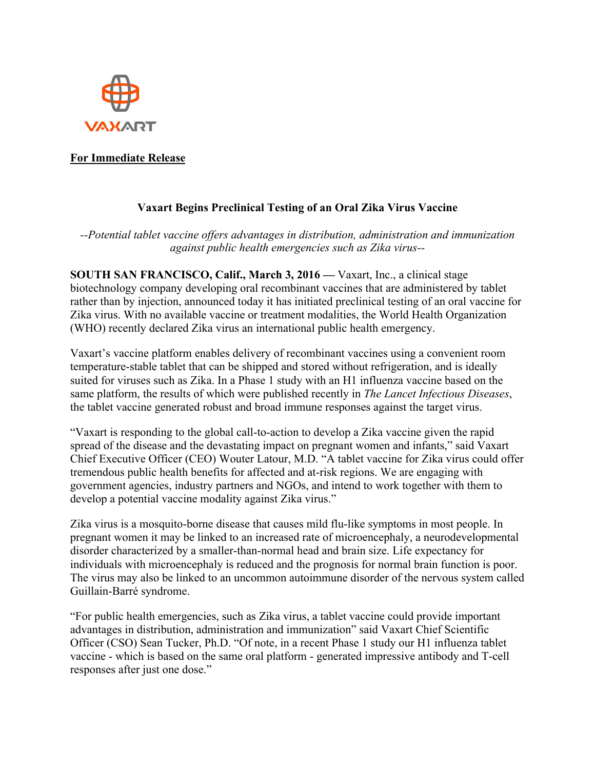

## **For Immediate Release**

## **Vaxart Begins Preclinical Testing of an Oral Zika Virus Vaccine**

*--Potential tablet vaccine offers advantages in distribution, administration and immunization against public health emergencies such as Zika virus--*

**SOUTH SAN FRANCISCO, Calif., March 3, 2016 —** Vaxart, Inc., a clinical stage biotechnology company developing oral recombinant vaccines that are administered by tablet rather than by injection, announced today it has initiated preclinical testing of an oral vaccine for Zika virus. With no available vaccine or treatment modalities, the World Health Organization (WHO) recently declared Zika virus an international public health emergency.

Vaxart's vaccine platform enables delivery of recombinant vaccines using a convenient room temperature-stable tablet that can be shipped and stored without refrigeration, and is ideally suited for viruses such as Zika. In a Phase 1 study with an H1 influenza vaccine based on the same platform, the results of which were published recently in *The Lancet Infectious Diseases*, the tablet vaccine generated robust and broad immune responses against the target virus.

"Vaxart is responding to the global call-to-action to develop a Zika vaccine given the rapid spread of the disease and the devastating impact on pregnant women and infants," said Vaxart Chief Executive Officer (CEO) Wouter Latour, M.D. "A tablet vaccine for Zika virus could offer tremendous public health benefits for affected and at-risk regions. We are engaging with government agencies, industry partners and NGOs, and intend to work together with them to develop a potential vaccine modality against Zika virus."

Zika virus is a mosquito-borne disease that causes mild flu-like symptoms in most people. In pregnant women it may be linked to an increased rate of microencephaly, a neurodevelopmental disorder characterized by a smaller-than-normal head and brain size. Life expectancy for individuals with microencephaly is reduced and the prognosis for normal brain function is poor. The virus may also be linked to an uncommon autoimmune disorder of the nervous system called Guillain-Barré syndrome.

"For public health emergencies, such as Zika virus, a tablet vaccine could provide important advantages in distribution, administration and immunization" said Vaxart Chief Scientific Officer (CSO) Sean Tucker, Ph.D. "Of note, in a recent Phase 1 study our H1 influenza tablet vaccine - which is based on the same oral platform - generated impressive antibody and T-cell responses after just one dose."